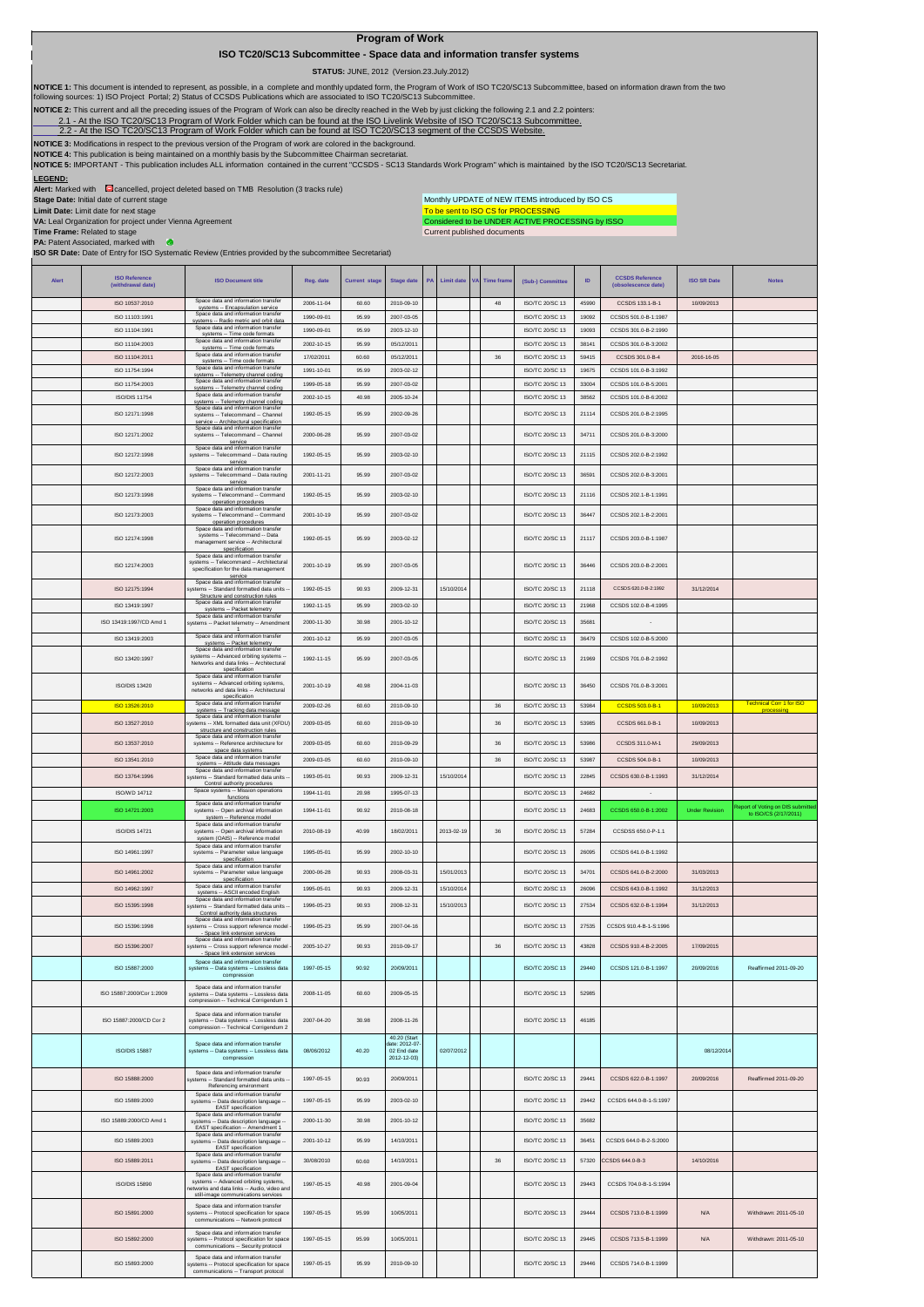## **Program of Work**

## **ISO TC20/SC13 Subcommittee - Space data and information transfer systems**

 **STATUS:** JUNE, 2012 (Version.23.July.2012)

NOTICE 1: This document is intended to represent, as possible, in a complete and monthly updated form, the Program of Work of ISO TC20/SC13 Subcommittee, based on information drawn from the two<br>following sources: 1) ISO Pr

**NOTICE 2:** This current and all the preceding issues of the Program of Work can also be direclty reached in the Web by just clicking the following 2.1 and 2.2 pointers:

2.1- At the ISO TC20/SC13 Program of Work Folder which can be found at the ISO Livelink Website of ISO TC20/SC13 Subcommittee.<br>[2.2 - A](http://cwe.ccsds.org/cmc/docs/Forms/AllItems.aspx?RootFolder=%2fcmc%2fdocs%2fISO%20TC20%2dSC13%2fISO%20TC20%2dSC13%20Meeting%20Minutes%20and%20Presentations&FolderCTID=&View=%7bD5DD30F7%2d53FC%2d45B9%2d8B93%2d709B280A475B%7d)t the ISO TC20/SC13 Program of Work Folder which can be found at ISO TC20/SC13 segment

NOTICE 3: Modifications in respect to the previous version of the Program of work are colored in the background.<br>NOTICE 4: This publication is being maintained on a monthly basis by the Subcommittee Chairman secretariat.<br>N

**LEGEND:**<br>**Alert:** Marked with Cancelled, project deleted based on TMB Resolution (3 tracks rule)

**Stage Date:** Initial date of current stage **Limit Date:** Limit date for next stage

Monthly UPDATE of NEW ITEMS introduced by ISO CS

To be sent to ISO CS for PROCESSING<br>Considered to be UNDER ACTIVE PROCESSING by ISSO Current published documents

**VA:** Leal Organization for project under Vienna Agreement **Time Frame:** Related to stage **PA:** Patent Associated, marked with **ISO SR Date:** Date of Entry for ISO Systematic Review (Entries provided by the subcommittee Secretariat)

| <b>Alert</b> | <b>ISO Reference</b>             | <b>ISO Document title</b>                                                                                                                  | Reg. date                | <b>Current stage</b> | <b>Stage date</b>                                          | PA | <b>Limit date</b> | <b>VA</b> | <b>Time frame</b> | (Sub-) Committee                   | ID             | <b>CCSDS Reference</b>                  | <b>ISO SR Date</b>    | <b>Notes</b>                                               |
|--------------|----------------------------------|--------------------------------------------------------------------------------------------------------------------------------------------|--------------------------|----------------------|------------------------------------------------------------|----|-------------------|-----------|-------------------|------------------------------------|----------------|-----------------------------------------|-----------------------|------------------------------------------------------------|
|              | (withdrawal date)                |                                                                                                                                            |                          |                      |                                                            |    |                   |           |                   |                                    |                | (obsolescence date)                     |                       |                                                            |
|              | ISO 10537:2010                   | Space data and information transfer<br>systems -- Encapsulation service<br>Space data and information transfer                             | 2006-11-04               | 60.60                | 2010-09-10                                                 |    |                   |           | 48                | ISO/TC 20/SC 13                    | 45990          | CCSDS 133.1-B-1                         | 10/09/2013            |                                                            |
|              | ISO 11103:1991                   | systems -- Radio metric and orbit data<br>Space data and information transfer                                                              | 1990-09-01               | 95.99                | 2007-03-05                                                 |    |                   |           |                   | ISO/TC 20/SC 13                    | 19092          | CCSDS 501 0-B-1:1987                    |                       |                                                            |
|              | ISO 11104:1991<br>ISO 11104:2003 | systems -- Time code formats<br>Space data and information transfer                                                                        | 1990-09-01               | 95.99<br>95.99       | 2003-12-10                                                 |    |                   |           |                   | ISO/TC 20/SC 13<br>ISO/TC 20/SC 13 | 19093<br>38141 | CCSDS 301.0-B-2:1990                    |                       |                                                            |
|              | ISO 11104:2011                   | systems -- Time code formats<br>Space data and information transfer                                                                        | 2002-10-15<br>17/02/2011 | 60.60                | 05/12/2011<br>05/12/2011                                   |    |                   |           | 36                | ISO/TC 20/SC 13                    | 59415          | CCSDS 301.0-B-3:2002<br>CCSDS 301.0-B-4 | 2016-16-05            |                                                            |
|              | ISO 11754:1994                   | systems -- Time code formats<br>Space data and information transfer                                                                        | 1991-10-01               | 95.99                | 2003-02-12                                                 |    |                   |           |                   | ISO/TC 20/SC 13                    | 19675          | CCSDS 101.0-B-3:1992                    |                       |                                                            |
|              | ISO 11754:2003                   | systems -- Telemetry channel coding<br>Space data and information transfer                                                                 | 1999-05-18               | 95.99                | 2007-03-02                                                 |    |                   |           |                   | ISO/TC 20/SC 13                    | 33004          | CCSDS 101.0-B-5:2001                    |                       |                                                            |
|              | <b>ISO/DIS 11754</b>             | systems -- Telemetry channel coding<br>Space data and information transfer                                                                 | 2002-10-15               | 40.98                | 2005-10-24                                                 |    |                   |           |                   | ISO/TC 20/SC 13                    | 38562          | CCSDS 101.0-B-6:2002                    |                       |                                                            |
|              | ISO 12171:1998                   | systems -- Telemetry channel coding<br>Space data and information transfer<br>systems -- Telecommand -- Channel                            | 1992-05-15               | 95.99                | 2002-09-26                                                 |    |                   |           |                   | <b>ISO/TC 20/SC 13</b>             | 21114          | CCSDS 201.0-B-2:1995                    |                       |                                                            |
|              | ISO 12171:2002                   | service -- Architectural specification<br>Space data and information transfer<br>systems -- Telecommand -- Channel                         | 2000-06-28               | 95.99                | 2007-03-02                                                 |    |                   |           |                   | ISO/TC 20/SC 13                    | 34711          | CCSDS 201.0-B-3:2000                    |                       |                                                            |
|              | ISO 12172:1998                   | service<br>Space data and information transfer<br>systems -- Telecommand -- Data routing                                                   | 1992-05-15               | 95.99                | 2003-02-10                                                 |    |                   |           |                   | ISO/TC 20/SC 13                    | 21115          | CCSDS 202.0-B-2:1992                    |                       |                                                            |
|              | ISO 12172:2003                   | service<br>Space data and information transfer<br>systems -- Telecommand -- Data routing                                                   | 2001-11-21               | 95.99                | 2007-03-02                                                 |    |                   |           |                   | <b>ISO/TC 20/SC 13</b>             | 36591          | CCSDS 202 0-B-3:2001                    |                       |                                                            |
|              |                                  | service<br>Space data and information transfer                                                                                             |                          |                      |                                                            |    |                   |           |                   |                                    |                |                                         |                       |                                                            |
|              | ISO 12173:1998                   | systems -- Telecommand -- Command<br>operation procedures<br>Space data and information transfer                                           | 1992-05-15               | 95.99                | 2003-02-10                                                 |    |                   |           |                   | ISO/TC 20/SC 13                    | 21116          | CCSDS 202.1-B-1:1991                    |                       |                                                            |
|              | ISO 12173:2003                   | systems -- Telecommand -- Command<br>operation procedures                                                                                  | 2001-10-19               | 95.99                | 2007-03-02                                                 |    |                   |           |                   | ISO/TC 20/SC 13                    | 36447          | CCSDS 202.1-B-2:2001                    |                       |                                                            |
|              | ISO 12174:1998                   | Space data and information transfer<br>systems -- Telecommand -- Data<br>management service -- Architectural<br>specification              | 1992-05-15               | 95.99                | 2003-02-12                                                 |    |                   |           |                   | ISO/TC 20/SC 13                    | 21117          | CCSDS 203.0-B-1:1987                    |                       |                                                            |
|              | ISO 12174:2003                   | Space data and information transfer<br>systems -- Telecommand -- Architectural<br>specification for the data management                    | 2001-10-19               | 95.99                | 2007-03-05                                                 |    |                   |           |                   | <b>ISO/TC 20/SC 13</b>             | 36446          | CCSDS 203 0-B-2:2001                    |                       |                                                            |
|              | ISO 12175:1994                   | service<br>Space data and information transfer<br>ystems -- Standard formatted data units                                                  | 1992-05-15               | 90.93                | 2009-12-31                                                 |    | 15/10/2014        |           |                   | ISO/TC 20/SC 13                    | 21118          | CCSDS 620.0-B-2:1992                    | 31/12/2014            |                                                            |
|              | ISO 13419:1997                   | Structure and construction rules<br>Space data and information transfer                                                                    | 1992-11-15               | 95.99                | 2003-02-10                                                 |    |                   |           |                   | ISO/TC 20/SC 13                    | 21968          | CCSDS 102.0-B-4:1995                    |                       |                                                            |
|              |                                  | systems -- Packet telemetry<br>Space data and information transfer                                                                         |                          |                      |                                                            |    |                   |           |                   |                                    |                |                                         |                       |                                                            |
|              | ISO 13419:1997/CD Amd 1          | ystems -- Packet telemetry -- Amendmen                                                                                                     | 2000-11-30               | 30.98                | 2001-10-12                                                 |    |                   |           |                   | ISO/TC 20/SC 13                    | 35681          |                                         |                       |                                                            |
|              | ISO 13419:2003                   | Space data and information transfer<br>systems -- Packet telemetry                                                                         | 2001-10-12               | 95.99                | 2007-03-05                                                 |    |                   |           |                   | ISO/TC 20/SC 13                    | 36479          | CCSDS 102.0-B-5:2000                    |                       |                                                            |
|              | ISO 13420:1997                   | Space data and information transfer<br>systems -- Advanced orbiting systems -<br>Networks and data links -- Architectural<br>specification | 1992-11-15               | 95.99                | 2007-03-05                                                 |    |                   |           |                   | ISO/TC 20/SC 13                    | 21969          | CCSDS 701.0-B-2:1992                    |                       |                                                            |
|              | ISO/DIS 13420                    | Space data and information transfer<br>systems -- Advanced orbiting systems,<br>networks and data links -- Architectural                   | 2001-10-19               | 40.98                | 2004-11-03                                                 |    |                   |           |                   | ISO/TC 20/SC 13                    | 36450          | CCSDS 701.0-B-3:2001                    |                       |                                                            |
|              | ISO 13526:2010                   | specification<br>Space data and information transfer                                                                                       | 2009-02-26               | 60.60                | 2010-09-10                                                 |    |                   |           | 36                | ISO/TC 20/SC 13                    | 53984          | CCSDS 503.0-B-1                         | 10/09/2013            | <b>Technical Corr 1 for ISO</b><br><b>Drocessing</b>       |
|              | ISO 13527:2010                   | systems -- Tracking data message<br>Space data and information transfer<br>ystems -- XML formatted data unit (XFDU)                        | 2009-03-05               | 60.60                | 2010-09-10                                                 |    |                   |           | 36                | ISO/TC 20/SC 13                    | 53985          | CCSDS 661.0-B-1                         | 10/09/2013            |                                                            |
|              | ISO 13537:2010                   | structure and construction rules<br>Space data and information transfe<br>systems -- Reference architecture for                            | 2009-03-05               | 60.60                | 2010-09-29                                                 |    |                   |           | 36                | ISO/TC 20/SC 13                    | 53986          | CCSDS 311.0-M-1                         | 29/09/2013            |                                                            |
|              | ISO 13541:2010                   | space data systems<br>Space data and information transfer                                                                                  | 2009-03-05               | 60.60                | 2010-09-10                                                 |    |                   |           | 36                | ISO/TC 20/SC 13                    | 53987          | CCSDS 504.0-B-1                         | 10/09/2013            |                                                            |
|              |                                  | systems -- Attitude data messages<br>Space data and information transfer                                                                   |                          |                      |                                                            |    |                   |           |                   |                                    |                |                                         |                       |                                                            |
|              | ISO 13764:1996                   | systems -- Standard formatted data units<br>Control authority procedures<br>Space systems -- Mission operations                            | 1993-05-01               | 90.93                | 2009-12-31                                                 |    | 15/10/2014        |           |                   | ISO/TC 20/SC 13                    | 22845          | CCSDS 630.0-B-1:1993                    | 31/12/2014            |                                                            |
|              | ISO/WD 14712                     | functions<br>Space data and information transfer                                                                                           | 1994-11-01               | 20.98                | 1995-07-13                                                 |    |                   |           |                   | ISO/TC 20/SC 13                    | 24682          | $\sim$                                  |                       |                                                            |
|              | ISO 14721:2003                   | systems -- Open archival information<br>system -- Reference model                                                                          | 1994-11-01               | 90.92                | 2010-08-18                                                 |    |                   |           |                   | ISO/TC 20/SC 13                    | 24683          | CCSDS 650.0-B-1:2002                    | <b>Under Revision</b> | Report of Voting on DIS submitted<br>to ISO/CS (2/17/2011) |
|              | <b>ISO/DIS 14721</b>             | Space data and information transfer<br>systems -- Open archival information<br>system (OAIS) -- Reference model                            | 2010-08-19               | 40.99                | 18/02/2011                                                 |    | 2013-02-19        |           | 36                | ISO/TC 20/SC 13                    | 57284          | CCSDSS 650.0-P-1.1                      |                       |                                                            |
|              | ISO 14961:1997                   | Space data and information transfer<br>systems -- Parameter value language<br>specification                                                | 1995-05-01               | 95.99                | 2002-10-10                                                 |    |                   |           |                   | <b>ISO/TC 20/SC 13</b>             | 26095          | CCSDS 641.0-B-1:1992                    |                       |                                                            |
|              | ISO 14961:2002                   | Space data and information transfer<br>systems -- Parameter value language                                                                 | 2000-06-28               | 90.93                | 2008-03-31                                                 |    | 15/01/2013        |           |                   | ISO/TC 20/SC 13                    | 34701          | CCSDS 641.0-B-2:2000                    | 31/03/2013            |                                                            |
|              | ISO 14962:1997                   | specification<br>Space data and information transfer                                                                                       | 1995-05-01               | 90.93                | 2009-12-31                                                 |    | 15/10/2014        |           |                   | ISO/TC 20/SC 13                    | 26096          | CCSDS 643.0-B-1:1992                    | 31/12/2013            |                                                            |
|              | ISO 15395:1998                   | systems -- ASCII encoded English<br>Space data and information transfer<br>ystems -- Standard formatted data units                         | 1996-05-23               | 90.93                | 2008-12-31                                                 |    | 15/10/2013        |           |                   | ISO/TC 20/SC 13                    | 27534          | CCSDS 632.0-B-1:1994                    | 31/12/2013            |                                                            |
|              |                                  | Control authority data structures<br>Space data and information transfer                                                                   |                          |                      |                                                            |    |                   |           |                   |                                    |                |                                         |                       |                                                            |
|              | ISO 15396:1998                   | systems -- Cross support reference model<br>- Space link extension services                                                                | 1996-05-23               | 95.99                | 2007-04-16                                                 |    |                   |           |                   | ISO/TC 20/SC 13                    | 27535          | CCSDS 910.4-B-1-S:1996                  |                       |                                                            |
|              | ISO 15396:2007                   | Space data and information transfer<br>systems -- Cross support reference model                                                            | 2005-10-27               | 90.93                | 2010-09-17                                                 |    |                   |           | 36                | ISO/TC 20/SC 13                    | 43828          | CCSDS 910.4-B-2:2005                    | 17/09/2015            |                                                            |
|              | ISO 15887:2000                   | - Space link extension services<br>Space data and information transfe<br>systems -- Data systems -- Lossless data                          | 1997-05-15               | 90.92                | 20/09/2011                                                 |    |                   |           |                   | ISO/TC 20/SC 13                    | 29440          | CCSDS 121.0-B-1:1997                    | 20/09/2016            | Reaffirmed 2011-09-20                                      |
|              | ISO 15887:2000/Cor 1:2009        | compression<br>Space data and information transfer<br>systems -- Data systems -- Lossless data                                             | 2008-11-05               | 60.60                | 2009-05-15                                                 |    |                   |           |                   | ISO/TC 20/SC 13                    | 52985          |                                         |                       |                                                            |
|              |                                  | compression -- Technical Corrigendum 1<br>Space data and information transfer                                                              |                          |                      |                                                            |    |                   |           |                   |                                    |                |                                         |                       |                                                            |
|              | ISO 15887:2000/CD Cor 2          | systems -- Data systems -- Lossless data<br>compression -- Technical Corrigendum 2                                                         | 2007-04-20               | 30.98                | 2008-11-26                                                 |    |                   |           |                   | ISO/TC 20/SC 13                    | 46185          |                                         |                       |                                                            |
|              | <b>ISO/DIS 15887</b>             | Space data and information transfer<br>systems -- Data systems -- Lossless data<br>compression                                             | 08/06/2012               | 40.20                | 40.20 (Start<br>date: 2012-07<br>02 End date<br>2012-12-03 |    | 02/07/2012        |           |                   |                                    |                |                                         | 08/12/2014            |                                                            |
|              | ISO 15888:2000                   | Space data and information transfer<br>systems -- Standard formatted data units<br>Referencing environment                                 | 1997-05-15               | 90.93                | 20/09/2011                                                 |    |                   |           |                   | ISO/TC 20/SC 13                    | 29441          | CCSDS 622.0-B-1:1997                    | 20/09/2016            | Reaffirmed 2011-09-20                                      |
|              | ISO 15889:2000                   | Space data and information transfer<br>systems -- Data description language -<br>EAST specification                                        | 1997-05-15               | 95.99                | 2003-02-10                                                 |    |                   |           |                   | ISO/TC 20/SC 13                    | 29442          | CCSDS 644.0-B-1-S:1997                  |                       |                                                            |
|              | ISO 15889:2000/CD Amd 1          | Space data and information transfer<br>systems -- Data description language -                                                              | 2000-11-30               | 30.98                | 2001-10-12                                                 |    |                   |           |                   | ISO/TC 20/SC 13                    | 35682          |                                         |                       |                                                            |
|              | ISO 15889:2003                   | EAST specification -- Amendment 1<br>Space data and information transfer<br>systems -- Data description language --                        | 2001-10-12               | 95.99                | 14/10/2011                                                 |    |                   |           |                   | ISO/TC 20/SC 13                    | 36451          | CCSDS 644 0-B-2-S:2000                  |                       |                                                            |
|              | ISO 15889:2011                   | EAST specification<br>Space data and information transfer<br>systems -- Data description language --<br>EAST specification                 | 30/08/2010               | 60.60                | 14/10/2011                                                 |    |                   |           | 36                | ISO/TC 20/SC 13                    | 57320          | CCSDS 644.0-B-3                         | 14/10/2016            |                                                            |
|              | ISO/DIS 15890                    | Space data and information transfer<br>systems -- Advanced orbiting systems,<br>etworks and data links -- Audio, video and                 | 1997-05-15               | 40.98                | 2001-09-04                                                 |    |                   |           |                   | ISO/TC 20/SC 13                    | 29443          | CCSDS 704.0-B-1-S:1994                  |                       |                                                            |
|              |                                  | still-image communications services                                                                                                        |                          |                      |                                                            |    |                   |           |                   |                                    |                |                                         |                       |                                                            |
|              | ISO 15891:2000                   | Space data and information transfer<br>vstems -- Protocol specification for space<br>communications -- Network protocol                    | 1997-05-15               | 95.99                | 10/05/2011                                                 |    |                   |           |                   | ISO/TC 20/SC 13                    | 29444          | CCSDS 713.0-B-1:1999                    | N/A                   | Withdrawn: 2011-05-10                                      |
|              | ISO 15892:2000                   | Space data and information transfer<br>systems -- Protocol specification for space                                                         | 1997-05-15               | 95.99                | 10/05/2011                                                 |    |                   |           |                   | ISO/TC 20/SC 13                    | 29445          | CCSDS 713.5-B-1:1999                    | N/A                   | Withdrawn: 2011-05-10                                      |
|              |                                  | communications -- Security protocol                                                                                                        |                          |                      |                                                            |    |                   |           |                   |                                    |                |                                         |                       |                                                            |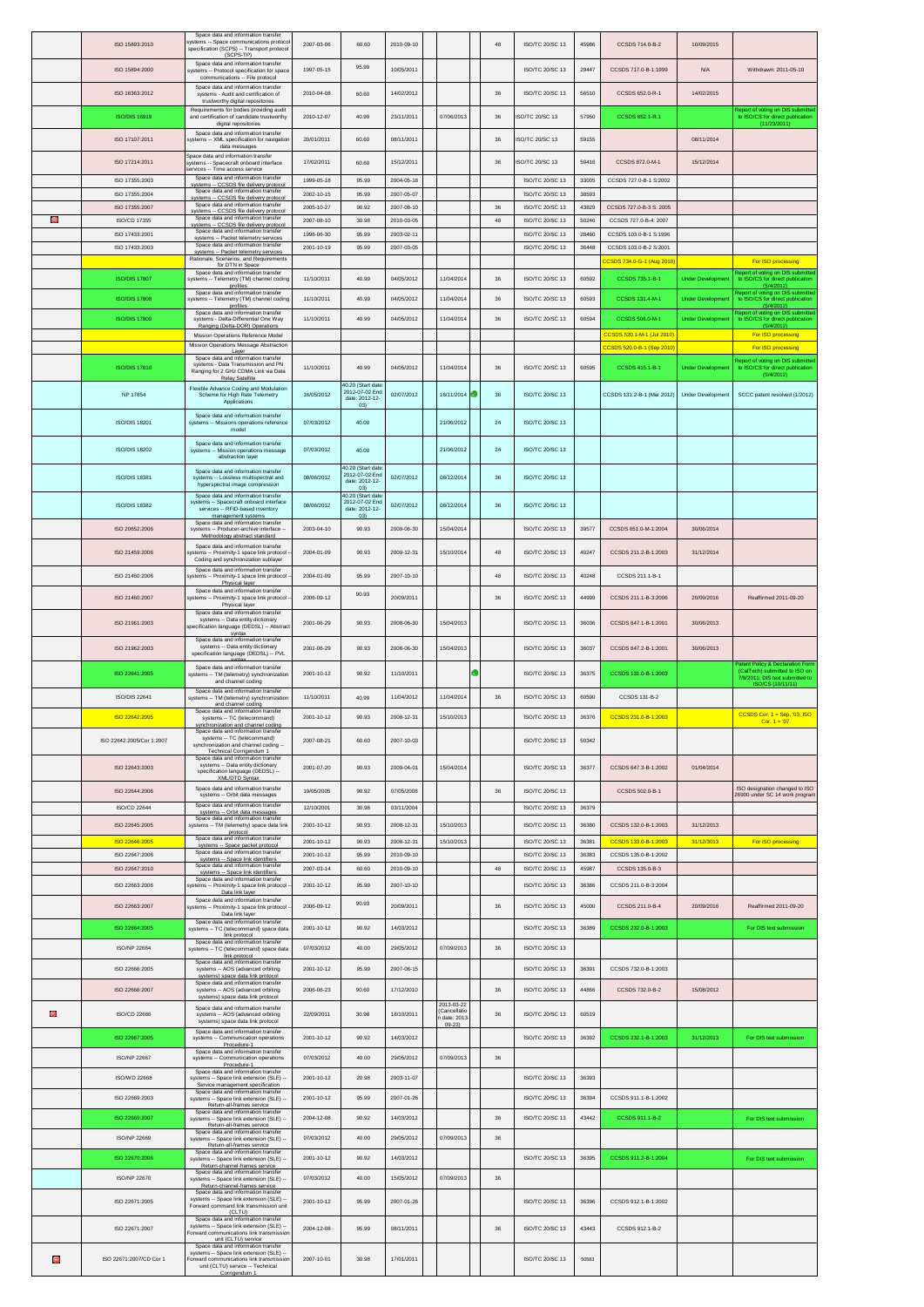|   | ISO 15893:2010                        | Space data and information transfer<br>systems -- Space communications protoco<br>specification (SCPS) -- Transport protocol<br>(SCPS-TP)          | 2007-03-06               | 60.60                                                         | 2010-09-10               |                           | 48     | ISO/TC 20/SC 13                    | 45986          | CCSDS 714.0-B-2                                         | 10/09/2015               |                                                                                     |
|---|---------------------------------------|----------------------------------------------------------------------------------------------------------------------------------------------------|--------------------------|---------------------------------------------------------------|--------------------------|---------------------------|--------|------------------------------------|----------------|---------------------------------------------------------|--------------------------|-------------------------------------------------------------------------------------|
|   | ISO 15894:2000                        | Space data and information transfer<br>systems -- Protocol specification for space                                                                 | 1997-05-15               | 95.99                                                         | 10/05/2011               |                           |        | ISO/TC 20/SC 13                    | 29447          | CCSDS 717.0-B-1:1999                                    | <b>N/A</b>               | Withdrawn: 2011-05-10                                                               |
|   | ISO 16363:2012                        | communications -- File protocol<br>Space data and information transfer<br>systems - Audit and certification of                                     | 2010-04-08               | 60.60                                                         | 14/02/2012               |                           | 36     | ISO/TC 20/SC 13                    | 56510          | CCSDS 652.0-R-1                                         | 14/02/2015               |                                                                                     |
|   | <b>ISO/DIS 16919</b>                  | trustworthy digital repositories<br>Requirements for bodies providing audit<br>and certification of candidate trustworthy                          | 2010-12-07               | 40.99                                                         | 23/11/2011               | 07/06/2013                | 36     | <b>ISO/TC 20/SC 13</b>             | 57950          | CCSDS 652.1-R.1                                         |                          | eport of voting on DIS submitted                                                    |
|   |                                       | digital repositories<br>Space data and information transfer                                                                                        |                          |                                                               |                          |                           |        |                                    |                |                                                         |                          | to ISO/CS for direct publication<br>(11/23/2011)                                    |
|   | ISO 17107:2011                        | svstems -- XML specification for navigation<br>data messages<br>Space data and information transfer                                                | 20/01/2011               | 60.60                                                         | 08/11/2011               |                           | $36\,$ | SO/TC 20/SC 13                     | 59155          |                                                         | 08/11/2014               |                                                                                     |
|   | ISO 17214:2011                        | systems -- Spacecraft onboard interface<br>ervices -- Time access service<br>Space data and information transfer                                   | 17/02/2011               | 60.60                                                         | 15/12/2011               |                           | 36     | SO/TC 20/SC 13                     | 59416          | CCSDS 872.0-M-1                                         | 15/12/2014               |                                                                                     |
|   | ISO 17355:2003<br>ISO 17355:2004      | systems -- CCSDS file delivery protoco<br>Space data and information transfer                                                                      | 1999-05-18<br>2002-10-15 | 95.99<br>95.99                                                | 2004-05-18<br>2007-05-07 |                           |        | ISO/TC 20/SC 13<br>ISO/TC 20/SC 13 | 33005<br>38593 | CCSDS 727.0-B-1 S:2002                                  |                          |                                                                                     |
|   | ISO 17355:2007                        | systems -- CCSDS file delivery protocol<br>Space data and information transfer<br>systems -- CCSDS file delivery protocol                          | 2005-10-27               | 90.92                                                         | 2007-08-10               |                           | 36     | ISO/TC 20/SC 13                    | 43829          | CCSDS 727 0-B-3 S: 2005                                 |                          |                                                                                     |
| Θ | <b>ISO/CD 17355</b><br>ISO 17433:2001 | Space data and information transfer<br>systems -- CCSDS file delivery protocol<br>Space data and information transfer                              | 2007-08-10<br>1998-06-30 | 30.98<br>95.99                                                | 2010-03-05<br>2003-02-11 |                           | 48     | ISO/TC 20/SC 13<br>ISO/TC 20/SC 13 | 50246<br>28460 | CCSDS 727.0-B-4: 2007<br>CCSDS 103.0-B-1 S:1996         |                          |                                                                                     |
|   | ISO 17433:2003                        | svstems -- Packet telemetrv services<br>Space data and information transfer<br>systems -- Packet telemetry services                                | 2001-10-19               | 95.99                                                         | 2007-03-05               |                           |        | ISO/TC 20/SC 13                    | 36448          | CCSDS 103.0-B-2 S:2001                                  |                          |                                                                                     |
|   |                                       | Rationale, Scenarios, and Requirements<br>for DTN in Space<br>Space data and information transfer                                                  |                          |                                                               |                          |                           |        |                                    |                | CCSDS 734.0-G-1 (Aug 2010                               |                          | For ISO processing<br>Report of voting on DIS submitted                             |
|   | <b>ISO/DIS 17807</b>                  | systems -- Telemetry (TM) channel coding<br>profiles<br>Space data and information transfer                                                        | 11/10/2011               | 40.99                                                         | 04/05/2012               | 11/04/2014                | $36\,$ | ISO/TC 20/SC 13                    | 60592          | CCSDS 735.1-B-1                                         | <b>Under Developmer</b>  | to ISO/CS for direct publication<br>(5/4/2012)<br>ort of voting on DIS submi        |
|   | <b>ISO/DIS 17808</b>                  | systems -- Telemetry (TM) channel coding<br>profiles                                                                                               | 11/10/2011               | 40.99                                                         | 04/05/2012               | 11/04/2014                | 36     | ISO/TC 20/SC 13                    | 60593          | CCSDS 131.4-M-1                                         | <b>Under Developmen</b>  | to ISO/CS for direct publication<br>(5/4/2012)                                      |
|   | <b>ISO/DIS 17809</b>                  | Space data and information transfer<br>systems - Delta-Differential One Wav<br>Ranging (Delta-DOR) Operations                                      | 11/10/2011               | 40.99                                                         | 04/05/2012               | 11/04/2014                | $36\,$ | ISO/TC 20/SC 13                    | 60594          | CCSDS 506.0-M-1                                         | <b>Under Developmen</b>  | Report of voting on DIS submitted<br>to ISO/CS for direct publication<br>(5/4/2012) |
|   |                                       | Mission Operations Reference Model<br>Mission Operations Message Abstraction                                                                       |                          |                                                               |                          |                           |        |                                    |                | CCSDS 520.1-M-1 (Jul 2010)<br>CCSDS 520.0-B-1 (Sep 2010 |                          | For ISO processing<br>For ISO processing                                            |
|   | <b>ISO/DIS 17810</b>                  | Layer<br>Space data and information transfer<br>systems - Data Transmission and PN                                                                 | 11/10/2011               | 40.99                                                         | 04/05/2012               | 11/04/2014                | $36\,$ | ISO/TC 20/SC 13                    | 60595          | CCSDS 415.1-B-1                                         | <b>Under Development</b> | Report of voting on DIS submitte<br>to ISO/CS for direct publication                |
|   |                                       | Ranging for 2 GHz CDMA Link via Data<br>Relay Satellite<br>Flexible Advance Coding and Modulation                                                  |                          | 40.20 (Start date                                             |                          |                           |        |                                    |                |                                                         |                          | (5/4/2012)                                                                          |
|   | NP 17854                              | Scheme for High Rate Telemetry<br>Applications                                                                                                     | 16/05/2012               | 2012-07-02 End<br>date: 2012-12-<br>(03)                      | 02/07/2012               | 16/11/2014                | 36     | ISO/TC 20/SC 13                    |                | CCSDS 131.2-B-1 (Mar 2012)                              | Under Development        | SCCC patent resolved (1/2012)                                                       |
|   | <b>ISO/DIS 18201</b>                  | Space data and information transfer<br>systems -- Missions operations reference<br>model                                                           | 07/03/2012               | 40.00                                                         |                          | 21/06/2012                | 24     | <b>ISO/TC 20/SC 13</b>             |                |                                                         |                          |                                                                                     |
|   | <b>ISO/DIS 18202</b>                  | Space data and information transfer<br>systems -- Mission operations message                                                                       | 07/03/2012               | 40.00                                                         |                          | 21/06/2012                | 24     | <b>ISO/TC 20/SC 13</b>             |                |                                                         |                          |                                                                                     |
|   |                                       | abstraction layer<br>Space data and information transfer                                                                                           |                          | 40.20 (Start date                                             |                          |                           |        |                                    |                |                                                         |                          |                                                                                     |
|   | <b>ISO/DIS 18381</b>                  | systems -- Lossless multispectral and<br>hyperspectral image compression                                                                           | 08/06/2012               | 2012-07-02 End<br>date: 2012-12-<br>03)                       | 02/07/2012               | 08/12/2014                | 36     | <b>ISO/TC 20/SC 13</b>             |                |                                                         |                          |                                                                                     |
|   | ISO/DIS 18382                         | Space data and information transfer<br>systems -- Spacecraft onboard interface<br>services -- RFID-based inventory<br>management systems           | 08/06/2012               | 40.20 (Start date<br>2012-07-02 End<br>date: 2012-12-<br>(03) | 02/07/2012               | 08/12/2014                | 36     | ISO/TC 20/SC 13                    |                |                                                         |                          |                                                                                     |
|   | ISO 20652:2006                        | Space data and information transfer<br>systems -- Producer-archive interface<br>Methodology abstract standard                                      | 2003-04-10               | 90.93                                                         | 2009-06-30               | 15/04/2014                |        | ISO/TC 20/SC 13                    | 39577          | CCSDS 651.0-M-1:2004                                    | 30/06/2014               |                                                                                     |
|   | ISO 21459:2006                        | Space data and information transfer<br>stems -- Proximity-1 space link protocol                                                                    | 2004-01-09               | 90.93                                                         | 2009-12-31               | 15/10/2014                | 48     | ISO/TC 20/SC 13                    | 40247          | CCSDS 211.2-B-1:2003                                    | 31/12/2014               |                                                                                     |
|   | ISO 21460:2006                        | Coding and synchronization sublayer<br>Space data and information transfer<br>systems -- Proximity-1 space link protocol                           | 2004-01-09               | 95.99                                                         | 2007-10-10               |                           | 48     | ISO/TC 20/SC 13                    | 40248          | CCSDS 211.1-B-1                                         |                          |                                                                                     |
|   |                                       | Physical layer<br>Space data and information transfer                                                                                              |                          | 90.93                                                         |                          |                           |        |                                    |                |                                                         |                          |                                                                                     |
|   | ISO 21460:2007                        | systems -- Proximity-1 space link protocol<br>Physical layer<br>Space data and information transfer                                                | 2006-09-12               |                                                               | 20/09/2011               |                           | 36     | ISO/TC 20/SC 13                    | 44999          | CCSDS 211.1-B-3:2006                                    | 20/09/2016               | Reaffirmed 2011-09-20                                                               |
|   | ISO 21961:2003                        | systems -- Data entity dictionary<br>specification language (DEDSL) -- Abstract<br>syntax                                                          | 2001-06-29               | 90.93                                                         | 2008-06-30               | 15/04/2013                |        | ISO/TC 20/SC 13                    | 36036          | CCSDS 647.1-B-1:2001                                    | 30/06/2013               |                                                                                     |
|   | ISO 21962:2003                        | Space data and information transfer<br>systems -- Data entity dictionary                                                                           | 2001-06-29               | 90.93                                                         | 2008-06-30               | 15/04/2013                |        | ISO/TC 20/SC 13                    | 36037          | CCSDS 647.2-B-1:2001                                    | 30/06/2013               |                                                                                     |
|   |                                       |                                                                                                                                                    |                          |                                                               |                          |                           |        |                                    |                |                                                         |                          |                                                                                     |
|   | ISO 22641:2005                        | specification language (DEDSL) -- PVL<br>Space data and information transfer                                                                       | 2001-10-12               | 90.92                                                         | 11/10/2011               |                           |        | ISO/TC 20/SC 13                    | 36375          | CCSDS 131.0-B-1:2003                                    |                          | Patent Policy & Declaration Form<br>(CalTech) submitted to ISO on                   |
|   |                                       | systems -- TM (telemetry) synchronization<br>and channel coding<br>Space data and information transfer                                             |                          |                                                               |                          |                           |        |                                    |                |                                                         |                          | 7/8/2011; DIS text submitted to<br>ISO/CS (10/11/11)                                |
|   | <b>ISO/DIS 22641</b>                  | systems -- TM (telemetry) synchronization<br>and channel coding<br>Space data and information transfer                                             | 11/10/2011               | 40.99                                                         | 11/04/2012               | 11/04/2014                | 36     | ISO/TC 20/SC 13                    | 60590          | CCSDS 131-B-2                                           |                          |                                                                                     |
|   | ISO 22642:2005                        | systems -- TC (telecommand)<br>synchronization and channel coding<br>Space data and information transfer                                           | 2001-10-12               | 90.93                                                         | 2008-12-31               | 15/10/2013                |        | ISO/TC 20/SC 13                    | 36376          | CCSDS 231.0-B-1:2003                                    |                          | CCSDS Cor. $1 =$ Sep. '03; ISO<br>Cor. $1 = '07$                                    |
|   | ISO 22642:2005/Cor 1:2007             | systems -- TC (telecommand)<br>synchronization and channel coding -<br><b>Technical Corrigendum 1</b>                                              | 2007-08-21               | 60.60                                                         | 2007-10-03               |                           |        | ISO/TC 20/SC 13                    | 50342          |                                                         |                          |                                                                                     |
|   | ISO 22643:2003                        | Space data and information transfe<br>systems -- Data entity dictionary<br>specification language (DEDSL) --<br>XML/DTD Syntax                     | 2001-07-20               | 90.93                                                         | 2009-04-01               | 15/04/2014                |        | ISO/TC 20/SC 13                    | 36377          | CCSDS 647.3-B-1:2002                                    | 01/04/2014               |                                                                                     |
|   | ISO 22644:2006                        | Space data and information transfer<br>systems -- Orbit data messages                                                                              | 19/05/2005               | 90.92                                                         | 07/05/2008               |                           | $36\,$ | ISO/TC 20/SC 13                    |                | CCSDS 502.0-B-1                                         |                          | ISO designation changed to ISO<br>26900 under SC 14 work program                    |
|   | <b>ISO/CD 22644</b>                   | Space data and information transfer<br>systems -- Orbit data messages                                                                              | 12/10/2001               | 30.98                                                         | 03/11/2004               |                           |        | ISO/TC 20/SC 13                    | 36379          |                                                         |                          |                                                                                     |
|   | ISO 22645:2005                        | Space data and information transfe<br>systems -- TM (telemetry) space data link<br>protocol                                                        | 2001-10-12               | 90.93                                                         | 2008-12-31               | 15/10/2013                |        | ISO/TC 20/SC 13                    | 36380          | CCSDS 132.0-B-1:2003                                    | 31/12/2013               |                                                                                     |
|   | ISO 22646:2005<br>ISO 22647:2006      | Space data and information transfer<br>systems -- Space packet protocol<br>Space data and information transfer                                     | 2001-10-12<br>2001-10-12 | 90.93<br>95.99                                                | 2008-12-31<br>2010-09-10 | 15/10/2013                |        | ISO/TC 20/SC 13<br>ISO/TC 20/SC 13 | 36381<br>36383 | CCSDS 133.0-B-1:2003<br>CCSDS 135.0-B-1:2002            | 31/12/3013               | For ISO processing                                                                  |
|   | ISO 22647:2010                        | systems -- Space link identifiers<br>Space data and information transfer<br>systems -- Space link identifiers                                      | 2007-03-14               | 60.60                                                         | 2010-09-10               |                           | 48     | ISO/TC 20/SC 13                    | 45987          | CCSDS 135.0-B-3                                         |                          |                                                                                     |
|   | ISO 22663:2006                        | Space data and information transfer<br>systems -- Proximity-1 space link protocol<br>Data link layer                                               | 2001-10-12               | 95.99                                                         | 2007-10-10               |                           |        | ISO/TC 20/SC 13                    | 36386          | CCSDS 211.0-B-3:2004                                    |                          |                                                                                     |
|   | ISO 22663:2007                        | Space data and information transfer<br>systems -- Proximity-1 space link protocol                                                                  | 2006-09-12               | 90.93                                                         | 20/09/2011               |                           | 36     | ISO/TC 20/SC 13                    | 45000          | CCSDS 211.0-B-4                                         | 20/09/2016               | Reaffirmed 2011-09-20                                                               |
|   | ISO 22664:2005                        | Data link layer<br>Space data and information transfer<br>systems -- TC (telecommand) space data                                                   | 2001-10-12               | 90.92                                                         | 14/03/2012               |                           |        | ISO/TC 20/SC 13                    | 36389          | CCSDS 232.0-B-1:2003                                    |                          | For DIS text submission                                                             |
|   | <b>ISO/NP 22664</b>                   | link protocol<br>Space data and information transfer<br>systems -- TC (telecommand) space data                                                     | 07/03/2012               | 40.00                                                         | 29/05/2012               | 07/09/2013                | 36     | <b>ISO/TC 20/SC 13</b>             |                |                                                         |                          |                                                                                     |
|   | ISO 22666:2005                        | link protocol<br>Space data and information transfer<br>systems -- AOS (advanced orbiting                                                          | 2001-10-12               | 95.99                                                         | 2007-08-15               |                           |        | ISO/TC 20/SC 13                    | 36391          | CCSDS 732.0-B-1:2003                                    |                          |                                                                                     |
|   | ISO 22666:2007                        | systems) space data link protocol<br>Space data and information transfer<br>systems -- AOS (advanced orbiting                                      | 2006-06-23               | 90.60                                                         | 17/12/2010               |                           | $36\,$ | ISO/TC 20/SC 13                    | 44866          | CCSDS 732.0-B-2                                         | 15/08/2012               |                                                                                     |
|   |                                       | systems) space data link protocol<br>Space data and information transfer                                                                           |                          |                                                               |                          | 2013-03-22<br>Cancellatio |        |                                    |                |                                                         |                          |                                                                                     |
| e | ISO/CD 22666                          | systems -- AOS (advanced orbiting<br>systems) space data link protocol<br>Space data and information transfer                                      | 22/09/2011               | 30.98                                                         | 18/10/2011               | date: 2013<br>$09 - 221$  | 36     | ISO/TC 20/SC 13                    | 60519          |                                                         |                          |                                                                                     |
|   | ISO 22667:2005                        | systems -- Communication operations<br>Procedure-1                                                                                                 | 2001-10-12               | 90.92                                                         | 14/03/2012               |                           |        | ISO/TC 20/SC 13                    | 36392          | CCSDS 232.1-B-1:2003                                    | 31/12/2013               | For DIS text submission                                                             |
|   | <b>ISO/NP 22667</b>                   | Space data and information transfer<br>systems -- Communication operations<br>Procedure-1<br>Space data and information transfer                   | 07/03/2012               | 40.00                                                         | 29/05/2012               | 07/09/2013                | 36     |                                    |                |                                                         |                          |                                                                                     |
|   | ISO/WD 22668                          | systems -- Space link extension (SLE) -<br>Service management specification<br>Space data and information transfer                                 | 2001-10-12               | 20.98                                                         | 2003-11-07               |                           |        | ISO/TC 20/SC 13                    | 36393          |                                                         |                          |                                                                                     |
|   | ISO 22669:2003                        | systems -- Space link extension (SLE) -<br>Return-all-frames service<br>Space data and information transfer                                        | 2001-10-12               | 95.99                                                         | 2007-01-26               |                           |        | ISO/TC 20/SC 13                    | 36394          | CCSDS 911.1-B-1:2002                                    |                          |                                                                                     |
|   | ISO 22669:2007                        | systems -- Space link extension (SLE) -<br>Return-all-frames service<br>Space data and information transfer                                        | 2004-12-08               | 90.92                                                         | 14/03/2012               |                           | 36     | ISO/TC 20/SC 13                    | 43442          | CCSDS 911.1-B-2                                         |                          | For DIS text submission                                                             |
|   | ISO/NP 22669                          | systems -- Space link extension (SLE) -<br>Return-all-frames service                                                                               | 07/03/2012               | 40.00                                                         | 29/05/2012               | 07/09/2013                | $36\,$ |                                    |                |                                                         |                          |                                                                                     |
|   | ISO 22670:2006                        | Space data and information transfer<br>systems -- Space link extension (SLE) -<br>Return-channel-frames service                                    | 2001-10-12               | 90.92                                                         | 14/03/2012               |                           |        | ISO/TC 20/SC 13                    | 36395          | CCSDS 911.2-B-1:2004                                    |                          | For DIS text submission                                                             |
|   | <b>ISO/NP 22670</b>                   | Space data and information transfer<br>systems -- Space link extension (SLE) --<br>Return-channel-frames service                                   | 07/03/2012               | 40.00                                                         | 15/05/2012               | 07/09/2013                | 36     |                                    |                |                                                         |                          |                                                                                     |
|   | ISO 22671:2005                        | Space data and information transfer<br>systems -- Space link extension (SLE)<br>Forward command link transmission unit                             | 2001-10-12               | 95.99                                                         | 2007-01-26               |                           |        | ISO/TC 20/SC 13                    | 36396          | CCSDS 912.1-B-1:2002                                    |                          |                                                                                     |
|   | ISO 22671:2007                        | (CLTU)<br>Space data and information transfer<br>systems -- Space link extension (SLE) --                                                          | 2004-12-08               | 95.99                                                         | 08/11/2011               |                           | 36     | ISO/TC 20/SC 13                    | 43443          | CCSDS 912.1-B-2                                         |                          |                                                                                     |
|   | ISO 22671:2007/CD Cor 1               | Forward communications link transmission<br>unit (CLTU) service<br>Space data and information transfer<br>systems -- Space link extension (SLE) -- |                          |                                                               |                          |                           |        | ISO/TC 20/SC 13                    |                |                                                         |                          |                                                                                     |